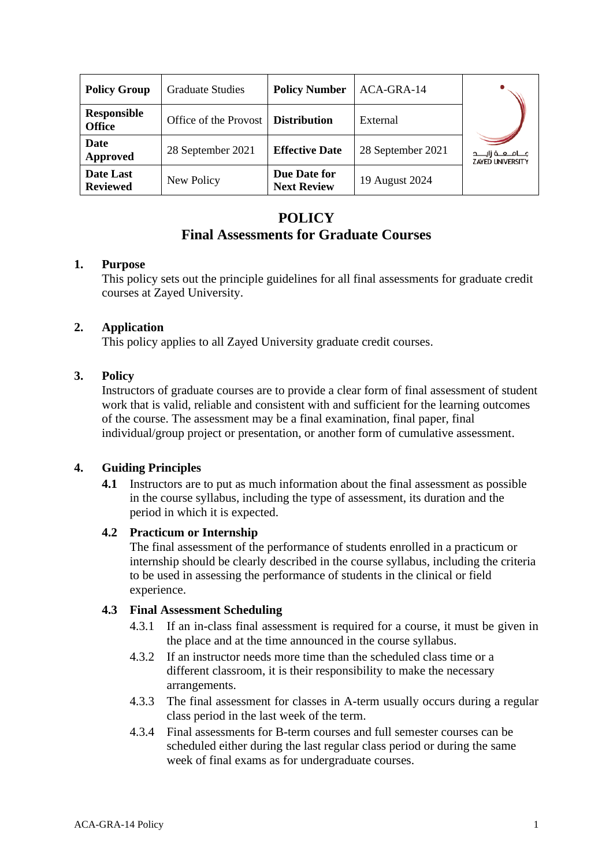| <b>Policy Group</b>                 | <b>Graduate Studies</b> | <b>Policy Number</b>               | ACA-GRA-14        |                                                     |
|-------------------------------------|-------------------------|------------------------------------|-------------------|-----------------------------------------------------|
| <b>Responsible</b><br><b>Office</b> | Office of the Provost   | <b>Distribution</b>                | External          |                                                     |
| <b>Date</b><br>Approved             | 28 September 2021       | <b>Effective Date</b>              | 28 September 2021 | مــــامـــــه زايــــــد<br><b>ZAYED UNIVERSITY</b> |
| Date Last<br><b>Reviewed</b>        | New Policy              | Due Date for<br><b>Next Review</b> | 19 August 2024    |                                                     |

# **POLICY Final Assessments for Graduate Courses**

## **1. Purpose**

This policy sets out the principle guidelines for all final assessments for graduate credit courses at Zayed University.

# **2. Application**

This policy applies to all Zayed University graduate credit courses.

# **3. Policy**

Instructors of graduate courses are to provide a clear form of final assessment of student work that is valid, reliable and consistent with and sufficient for the learning outcomes of the course. The assessment may be a final examination, final paper, final individual/group project or presentation, or another form of cumulative assessment.

# **4. Guiding Principles**

**4.1** Instructors are to put as much information about the final assessment as possible in the course syllabus, including the type of assessment, its duration and the period in which it is expected.

#### **4.2 Practicum or Internship**

The final assessment of the performance of students enrolled in a practicum or internship should be clearly described in the course syllabus, including the criteria to be used in assessing the performance of students in the clinical or field experience.

#### **4.3 Final Assessment Scheduling**

- 4.3.1 If an in-class final assessment is required for a course, it must be given in the place and at the time announced in the course syllabus.
- 4.3.2 If an instructor needs more time than the scheduled class time or a different classroom, it is their responsibility to make the necessary arrangements.
- 4.3.3 The final assessment for classes in A-term usually occurs during a regular class period in the last week of the term.
- 4.3.4 Final assessments for B-term courses and full semester courses can be scheduled either during the last regular class period or during the same week of final exams as for undergraduate courses.